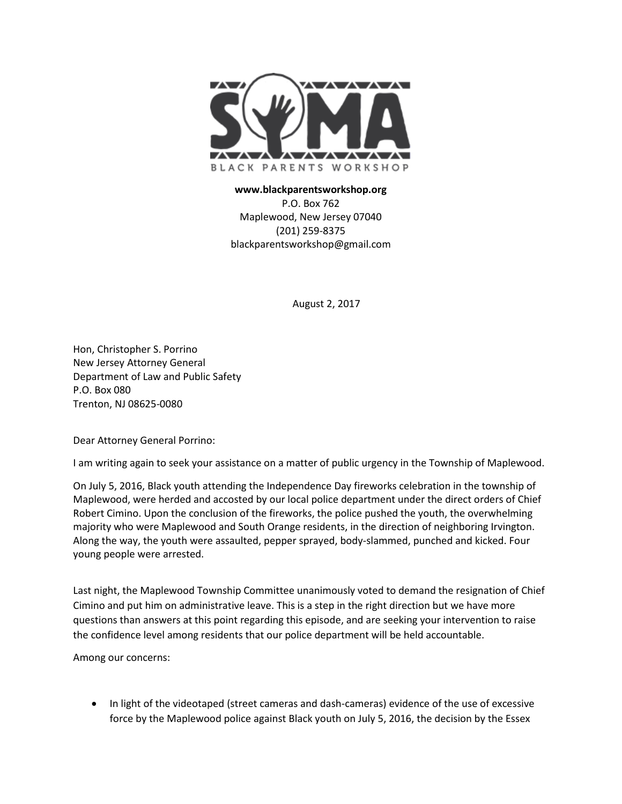

## **www.blackparentsworkshop.org** P.O. Box 762 Maplewood, New Jersey 07040 (201) 259-8375 blackparentsworkshop@gmail.com

August 2, 2017

Hon, Christopher S. Porrino New Jersey Attorney General Department of Law and Public Safety P.O. Box 080 Trenton, NJ 08625-0080

Dear Attorney General Porrino:

I am writing again to seek your assistance on a matter of public urgency in the Township of Maplewood.

On July 5, 2016, Black youth attending the Independence Day fireworks celebration in the township of Maplewood, were herded and accosted by our local police department under the direct orders of Chief Robert Cimino. Upon the conclusion of the fireworks, the police pushed the youth, the overwhelming majority who were Maplewood and South Orange residents, in the direction of neighboring Irvington. Along the way, the youth were assaulted, pepper sprayed, body-slammed, punched and kicked. Four young people were arrested.

Last night, the Maplewood Township Committee unanimously voted to demand the resignation of Chief Cimino and put him on administrative leave. This is a step in the right direction but we have more questions than answers at this point regarding this episode, and are seeking your intervention to raise the confidence level among residents that our police department will be held accountable.

Among our concerns:

• In light of the videotaped (street cameras and dash-cameras) evidence of the use of excessive force by the Maplewood police against Black youth on July 5, 2016, the decision by the Essex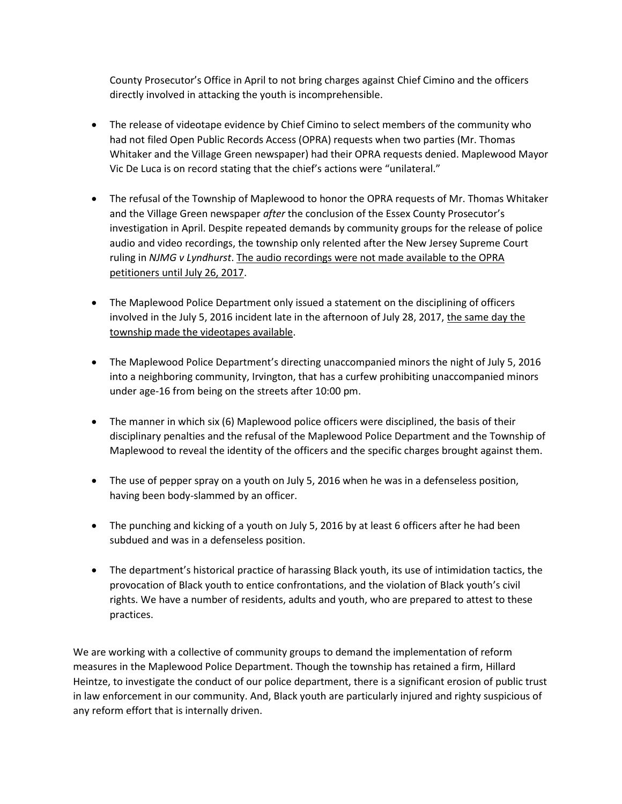County Prosecutor's Office in April to not bring charges against Chief Cimino and the officers directly involved in attacking the youth is incomprehensible.

- The release of videotape evidence by Chief Cimino to select members of the community who had not filed Open Public Records Access (OPRA) requests when two parties (Mr. Thomas Whitaker and the Village Green newspaper) had their OPRA requests denied. Maplewood Mayor Vic De Luca is on record stating that the chief's actions were "unilateral."
- The refusal of the Township of Maplewood to honor the OPRA requests of Mr. Thomas Whitaker and the Village Green newspaper *after* the conclusion of the Essex County Prosecutor's investigation in April. Despite repeated demands by community groups for the release of police audio and video recordings, the township only relented after the New Jersey Supreme Court ruling in *NJMG v Lyndhurst*. The audio recordings were not made available to the OPRA petitioners until July 26, 2017.
- The Maplewood Police Department only issued a statement on the disciplining of officers involved in the July 5, 2016 incident late in the afternoon of July 28, 2017, the same day the township made the videotapes available.
- The Maplewood Police Department's directing unaccompanied minors the night of July 5, 2016 into a neighboring community, Irvington, that has a curfew prohibiting unaccompanied minors under age-16 from being on the streets after 10:00 pm.
- The manner in which six (6) Maplewood police officers were disciplined, the basis of their disciplinary penalties and the refusal of the Maplewood Police Department and the Township of Maplewood to reveal the identity of the officers and the specific charges brought against them.
- The use of pepper spray on a youth on July 5, 2016 when he was in a defenseless position, having been body-slammed by an officer.
- The punching and kicking of a youth on July 5, 2016 by at least 6 officers after he had been subdued and was in a defenseless position.
- The department's historical practice of harassing Black youth, its use of intimidation tactics, the provocation of Black youth to entice confrontations, and the violation of Black youth's civil rights. We have a number of residents, adults and youth, who are prepared to attest to these practices.

We are working with a collective of community groups to demand the implementation of reform measures in the Maplewood Police Department. Though the township has retained a firm, Hillard Heintze, to investigate the conduct of our police department, there is a significant erosion of public trust in law enforcement in our community. And, Black youth are particularly injured and righty suspicious of any reform effort that is internally driven.